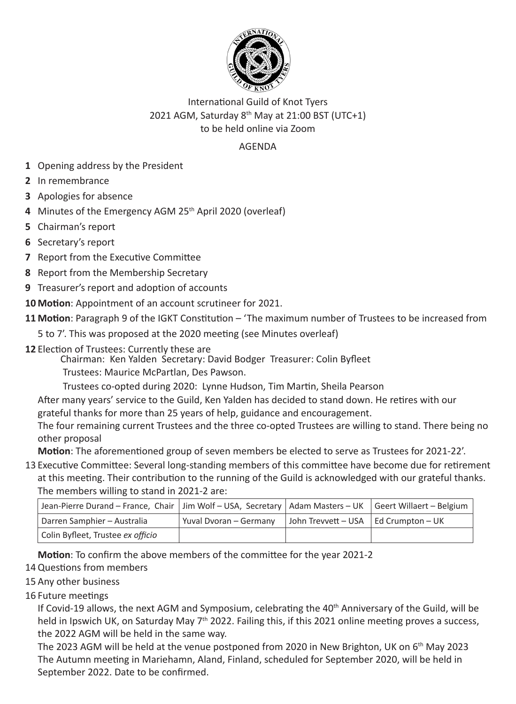

## International Guild of Knot Tyers 2021 AGM, Saturday 8<sup>th</sup> May at 21:00 BST (UTC+1) to be held online via Zoom

## **AGENDA**

- 1 Opening address by the President
- 2 In remembrance
- 3 Apologies for absence
- 4 Minutes of the Emergency AGM 25th April 2020 (overleaf)
- 5 Chairman's report
- 6 Secretary's report
- 7 Report from the Executive Committee
- 8 Report from the Membership Secretary
- 9 Treasurer's report and adoption of accounts
- 10 Motion: Appointment of an account scrutineer for 2021.
- 11 Motion: Paragraph 9 of the IGKT Constitution 'The maximum number of Trustees to be increased from
	- 5 to 7'. This was proposed at the 2020 meeting (see Minutes overleaf)
- 12 Election of Trustees: Currently these are
	- Chairman: Ken Yalden Secretary: David Bodger Treasurer: Colin Byfleet
	- Trustees: Maurice McPartlan, Des Pawson.
	- Trustees co-opted during 2020: Lynne Hudson, Tim Martin, Sheila Pearson
	- After many years' service to the Guild, Ken Yalden has decided to stand down. He retires with our grateful thanks for more than 25 years of help, guidance and encouragement.
	- The four remaining current Trustees and the three co-opted Trustees are willing to stand. There being no other proposal

**Motion**: The aforementioned group of seven members be elected to serve as Trustees for 2021-22'.

13 Executive Committee: Several long-standing members of this committee have become due for retirement at this meeting. Their contribution to the running of the Guild is acknowledged with our grateful thanks. The members willing to stand in 2021-2 are:

| $\frac{1}{2}$ and $\frac{1}{2}$ and $\frac{1}{2}$ are $\frac{1}{2}$ and $\frac{1}{2}$ and $\frac{1}{2}$ and $\frac{1}{2}$ and $\frac{1}{2}$ and $\frac{1}{2}$ |                        |                     |                          |
|---------------------------------------------------------------------------------------------------------------------------------------------------------------|------------------------|---------------------|--------------------------|
| Jean-Pierre Durand – France, Chair   Jim Wolf – USA, Secretary   Adam Masters – UK                                                                            |                        |                     | Geert Willaert - Belgium |
| Darren Samphier - Australia                                                                                                                                   | Yuval Dvoran - Germany | John Trevvett - USA | Ed Crumpton – UK         |
| Colin Byfleet, Trustee ex officio                                                                                                                             |                        |                     |                          |

**Motion**: To confirm the above members of the committee for the year 2021-2

14 Questions from members

- 15 Any other business
- 16 Future meetings

If Covid-19 allows, the next AGM and Symposium, celebrating the 40<sup>th</sup> Anniversary of the Guild, will be held in Ipswich UK, on Saturday May  $7<sup>th</sup>$  2022. Failing this, if this 2021 online meeting proves a success, the 2022 AGM will be held in the same way.

The 2023 AGM will be held at the venue postponed from 2020 in New Brighton, UK on 6<sup>th</sup> May 2023 The Autumn meeting in Mariehamn, Aland, Finland, scheduled for September 2020, will be held in September 2022. Date to be confirmed.